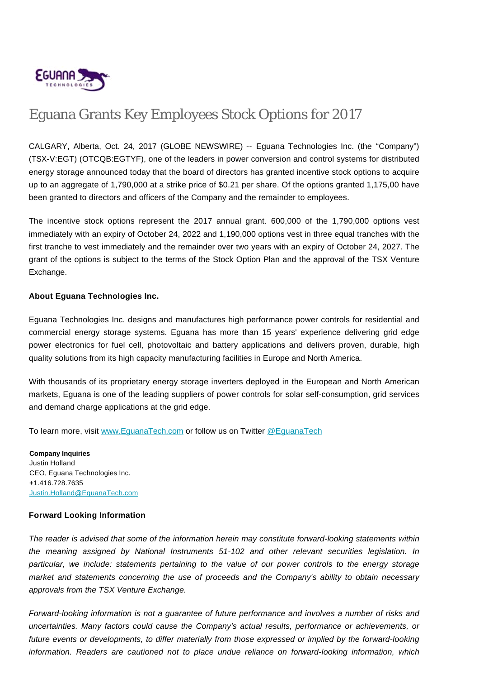

## Eguana Grants Key Employees Stock Options for 2017

CALGARY, Alberta, Oct. 24, 2017 (GLOBE NEWSWIRE) -- Eguana Technologies Inc. (the "Company") (TSX-V:EGT) (OTCQB:EGTYF), one of the leaders in power conversion and control systems for distributed energy storage announced today that the board of directors has granted incentive stock options to acquire up to an aggregate of 1,790,000 at a strike price of \$0.21 per share. Of the options granted 1,175,00 have been granted to directors and officers of the Company and the remainder to employees.

The incentive stock options represent the 2017 annual grant. 600,000 of the 1,790,000 options vest immediately with an expiry of October 24, 2022 and 1,190,000 options vest in three equal tranches with the first tranche to vest immediately and the remainder over two years with an expiry of October 24, 2027. The grant of the options is subject to the terms of the Stock Option Plan and the approval of the TSX Venture Exchange.

## **About Eguana Technologies Inc.**

Eguana Technologies Inc. designs and manufactures high performance power controls for residential and commercial energy storage systems. Eguana has more than 15 years' experience delivering grid edge power electronics for fuel cell, photovoltaic and battery applications and delivers proven, durable, high quality solutions from its high capacity manufacturing facilities in Europe and North America.

With thousands of its proprietary energy storage inverters deployed in the European and North American markets, Eguana is one of the leading suppliers of power controls for solar self-consumption, grid services and demand charge applications at the grid edge.

To learn more, visit [www.EguanaTech.com](http://www.eguanatech.com/) or follow us on Twitter [@EguanaTech](https://twitter.com/EguanaTech)

**Company Inquiries** Justin Holland CEO, Eguana Technologies Inc. +1.416.728.7635 [Justin.Holland@EguanaTech.com](mailto:Justin.Holland@EguanaTech.com)

## **Forward Looking Information**

The reader is advised that some of the information herein may constitute forward-looking statements within the meaning assigned by National Instruments 51-102 and other relevant securities legislation. In particular, we include: statements pertaining to the value of our power controls to the energy storage market and statements concerning the use of proceeds and the Company's ability to obtain necessary approvals from the TSX Venture Exchange.

Forward-looking information is not a guarantee of future performance and involves a number of risks and uncertainties. Many factors could cause the Company's actual results, performance or achievements, or future events or developments, to differ materially from those expressed or implied by the forward-looking information. Readers are cautioned not to place undue reliance on forward-looking information, which